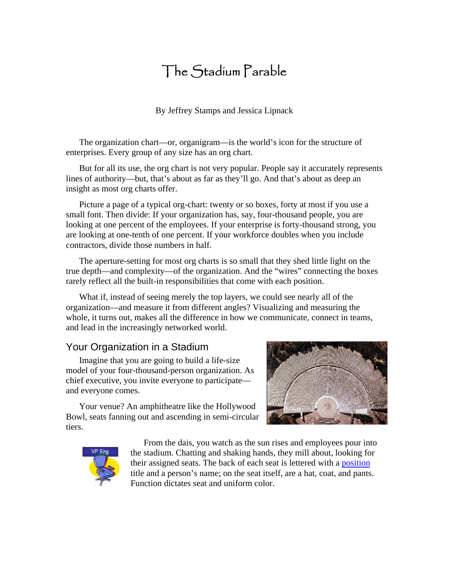# The Stadium Parable

By Jeffrey Stamps and Jessica Lipnack

The organization chart—or, organigram—is the world's icon for the structure of enterprises. Every group of any size has an org chart.

But for all its use, the org chart is not very popular. People say it accurately represents lines of authority—but, that's about as far as they'll go. And that's about as deep an insight as most org charts offer.

Picture a page of a typical org-chart: twenty or so boxes, forty at most if you use a small font. Then divide: If your organization has, say, four-thousand people, you are looking at one percent of the employees. If your enterprise is forty-thousand strong, you are looking at one-tenth of one percent. If your workforce doubles when you include contractors, divide those numbers in half.

The aperture-setting for most org charts is so small that they shed little light on the true depth—and complexity—of the organization. And the "wires" connecting the boxes rarely reflect all the built-in responsibilities that come with each position.

What if, instead of seeing merely the top layers, we could see nearly all of the organization—and measure it from different angles? Visualizing and measuring the whole, it turns out, makes all the difference in how we communicate, connect in teams, and lead in the increasingly networked world.

# Your Organization in a Stadium

Imagine that you are going to build a life-size model of your four-thousand-person organization. As chief executive, you invite everyone to participate and everyone comes.

Your venue? An amphitheatre like the Hollywood Bowl, seats fanning out and ascending in semi-circular tiers.





From the dais, you watch as the sun rises and employees pour into the stadium. Chatting and shaking hands, they mill about, looking for their assigned seats. The back of each seat is lettered with a [position](http://www.netage.com/networks/model/nodes/node-pos.html) title and a person's name; on the seat itself, are a hat, coat, and pants. Function dictates seat and uniform color.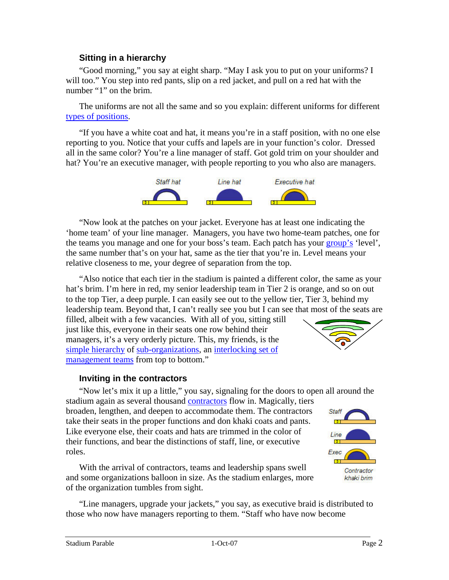### **Sitting in a hierarchy**

"Good morning," you say at eight sharp. "May I ask you to put on your uniforms? I will too." You step into red pants, slip on a red jacket, and pull on a red hat with the number "1" on the brim.

The uniforms are not all the same and so you explain: different uniforms for different [types of positions.](http://www.netage.com/orgscope/metrics/1-totals.html)

"If you have a white coat and hat, it means you're in a staff position, with no one else reporting to you. Notice that your cuffs and lapels are in your function's color. Dressed all in the same color? You're a line manager of staff. Got gold trim on your shoulder and hat? You're an executive manager, with people reporting to you who also are managers.



"Now look at the patches on your jacket. Everyone has at least one indicating the 'home team' of your line manager. Managers, you have two home-team patches, one for the teams you manage and one for your boss's team. Each patch has your [group's](http://www.netage.com/networks/model/nodes/node-grp.html) 'level', the same number that's on your hat, same as the tier that you're in. Level means your relative closeness to me, your degree of separation from the top.

"Also notice that each tier in the stadium is painted a different color, the same as your hat's brim. I'm here in red, my senior leadership team in Tier 2 is orange, and so on out to the top Tier, a deep purple. I can easily see out to the yellow tier, Tier 3, behind my leadership team. Beyond that, I can't really see you but I can see that most of the seats are

filled, albeit with a few vacancies. With all of you, sitting still just like this, everyone in their seats one row behind their managers, it's a very orderly picture. This, my friends, is the [simple hierarchy](http://www.netage.com/networks/model/network/hierarchy-wiki.html) of [sub-organizations,](http://www.netage.com/networks/model/nodes/node-org.html) an [interlocking set of](http://www.netage.com/virtualteams/model/teams/team-hier.html)  [management teams](http://www.netage.com/virtualteams/model/teams/team-hier.html) from top to bottom."



#### **Inviting in the contractors**

"Now let's mix it up a little," you say, signaling for the doors to open all around the

stadium again as several thousand [contractors](http://www.netage.com/networks/model/links/ac-responsibity.html) flow in. Magically, tiers broaden, lengthen, and deepen to accommodate them. The contractors take their seats in the proper functions and don khaki coats and pants. Like everyone else, their coats and hats are trimmed in the color of their functions, and bear the distinctions of staff, line, or executive roles.

With the arrival of contractors, teams and leadership spans swell and some organizations balloon in size. As the stadium enlarges, more of the organization tumbles from sight.

Line Exec Contractor khaki brim

Staff

"Line managers, upgrade your jackets," you say, as executive braid is distributed to those who now have managers reporting to them. "Staff who have now become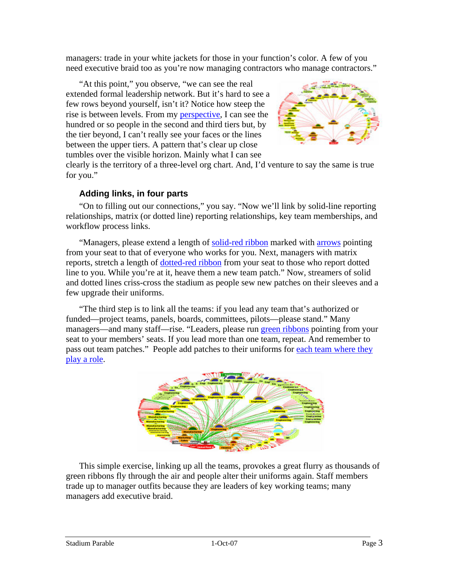managers: trade in your white jackets for those in your function's color. A few of you need executive braid too as you're now managing contractors who manage contractors."

"At this point," you observe, "we can see the real extended formal leadership network. But it's hard to see a few rows beyond yourself, isn't it? Notice how steep the rise is between levels. From my [perspective](http://www.netage.com/networks/model/nodes/perspective.html), I can see the hundred or so people in the second and third tiers but, by the tier beyond, I can't really see your faces or the line s between the upper tiers. A pattern that's clear up close tumbles over the visible horizon. Mainly what I can see



clearly is the territory of a three-level org chart. And, I'd venture to say the same is true for you."

### **Adding links, in four parts**

"On to filling out our connections," you say. "Now we'll link by solid-line reporting relationships, matrix (or dotted line) reporting relationships, key team memberships, and workflow process links.

"Managers, please extend a length of [solid-red ribbon](http://www.netage.com/networks/model/network/core-hierarchy.html) marked with [arrows](http://www.netage.com/networks/model/network/arrowhead-purpose.html) pointing from your seat to that of everyone who works for you. Next, managers with matrix reports, stretch a length of [dotted-red ribbon](http://www.netage.com/networks/model/links/A-link.html) from your seat to those who report dotted line to you. While you're at it, heave them a new team patch." Now, streamers of solid and dotted lines criss-cross the stadium as people sew new patches on their sleeves and a few upgrade their uniforms.

"The third step is to link all the teams: if you lead any team that's authorized or funded—project teams, panels, boards, committees, pilots—please stand." Many managers—and many staff—rise. "Leaders, please run [green ribbons](http://www.netage.com/networks/model/links/c-link.html) pointing from your seat to your members' seats. If you lead more than one team, repeat. And remember to pass out team patches." People add patches to their uniforms for each team where they [play a role.](http://www.netage.com/virtualteams/model/positions/1posRoles.html)



This simple exercise, linking up all the teams, provokes a great flurry as thousands of green ribbons fly through the air and people alter their uniforms again. Staff members trade up to manager outfits because they are leaders of key working teams; many managers add executive braid.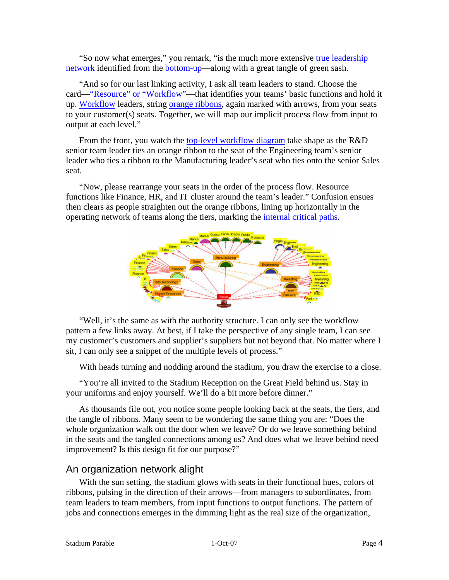"So now what emerges," you remark, "is the much more extensive true leadership [network](http://www.netage.com/virtualteams/model/teams/whoLeads.html) identified from the [bottom-up](http://www.netage.com/virtualteams/model/perspectives/fixed-relative.html)—along with a great tangle of green sash.

"And so for our last linking activity, I ask all team leaders to stand. Choose the card—["Resource" or "Workflow"—](http://www.netage.com/virtualteams/model/teams/res-wkflw.html)that identifies your teams' basic functions and hold it up. [Workflow](http://www.netage.com/virtualteams/model/teams/pur-flows.html) leaders, string [orange ribbons](http://www.netage.com/networks/model/links/b-link.html), again marked with arrows, from your seats to your customer(s) seats. Together, we will map our implicit process flow from input to output at each level."

From the front, you watch the [top-level workflow diagram](http://www.netage.com/networks/model/links/a+b-link.html) take shape as the R&D senior team leader ties an orange ribbon to the seat of the Engineering team's senior leader who ties a ribbon to the Manufacturing leader's seat who ties onto the senior Sales seat.

"Now, please rearrange your seats in the order of the process flow. Resource functions like Finance, HR, and IT cluster around the team's leader." Confusion ensues then clears as people straighten out the orange ribbons, lining up horizontally in the operating network of teams along the tiers, marking the [internal critical paths.](http://www.netage.com/virtualteams/model/teams/critical-path.html)



"Well, it's the same as with the authority structure. I can only see the workflow pattern a few links away. At best, if I take the perspective of any single team, I can see my customer's customers and supplier's suppliers but not beyond that. No matter where I sit, I can only see a snippet of the multiple levels of process."

With heads turning and nodding around the stadium, you draw the exercise to a close.

"You're all invited to the Stadium Reception on the Great Field behind us. Stay in your uniforms and enjoy yourself. We'll do a bit more before dinner."

As thousands file out, you notice some people looking back at the seats, the tiers, and the tangle of ribbons. Many seem to be wondering the same thing you are: "Does the whole organization walk out the door when we leave? Or do we leave something behind in the seats and the tangled connections among us? And does what we leave behind need improvement? Is this design fit for our purpose?"

## An organization network alight

With the sun setting, the stadium glows with seats in their functional hues, colors of ribbons, pulsing in the direction of their arrows—from managers to subordinates, from team leaders to team members, from input functions to output functions. The pattern of jobs and connections emerges in the dimming light as the real size of the organization,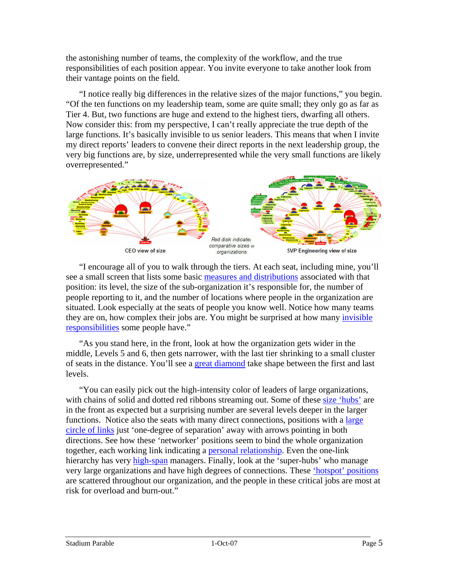the astonishing number of teams, the complexity of the workflow, and the true responsibilities of each position appear. You invite everyone to take another look from their vantage points on the field.

"I notice really big differences in the relative sizes of the major functions," you begin. "Of the ten functions on my leadership team, some are quite small; they only go as far as Tier 4. But, two functions are huge and extend to the highest tiers, dwarfing all others. Now consider this: from my perspective, I can't really appreciate the true depth of the large functions. It's basically invisible to us senior leaders. This means that when I invite my direct reports' leaders to convene their direct reports in the next leadership group, the very big functions are, by size, underrepresented while the very small functions are likely overrepresented."



"I encourage all of you to walk through the tiers. At each seat, including mine, you'll see a small screen that lists some basic [measures and distributions](http://www.netage.com/orgscope/metrics/6views.html) associated with that position: its level, the size of the sub-organization it's responsible for, the number of people reporting to it, and the number of locations where people in the organization are situated. Look especially at the seats of people you know well. Notice how many teams they are on, how complex their jobs are. You might be surprised at how many [invisible](http://www.netage.com/networks/model/links/ac-responsibity.html)  [responsibilities](http://www.netage.com/networks/model/links/ac-responsibity.html) some people have."

"As you stand here, in the front, look at how the organization gets wider in the middle, Levels 5 and 6, then gets narrower, with the last tier shrinking to a small cluster of seats in the distance. You'll see a [great diamond](http://www.netage.com/orgscope/metrics/2-levels.html) take shape between the first and last levels.

"You can easily pick out the high-intensity color of leaders of large organizations, with chains of solid and dotted red ribbons streaming out. Some of these [size 'hubs'](http://www.netage.com/orgscope/metrics/3-size.html) are in the front as expected but a surprising number are several levels deeper in the larger functions. Notice also the seats with many direct connections, positions with a large [circle of links](http://www.netage.com/virtualteams/model/positions/1posRoles.html) just 'one-degree of separation' away with arrows pointing in both directions. See how these 'networker' positions seem to bind the whole organization together, each working link indicating a [personal relationship.](http://www.netage.com/networks/model/links/e-link.html) Even the one-link hierarchy has very [high-span](http://www.netage.com/orgscope/metrics/4-span.html) managers. Finally, look at the 'super-hubs' who manage very large organizations and have high degrees of connections. These *['hotspot' positions](http://www.netage.com/orgscope/metrics/6-hotspots.html)* are scattered throughout our organization, and the people in these critical jobs are most at risk for overload and burn-out."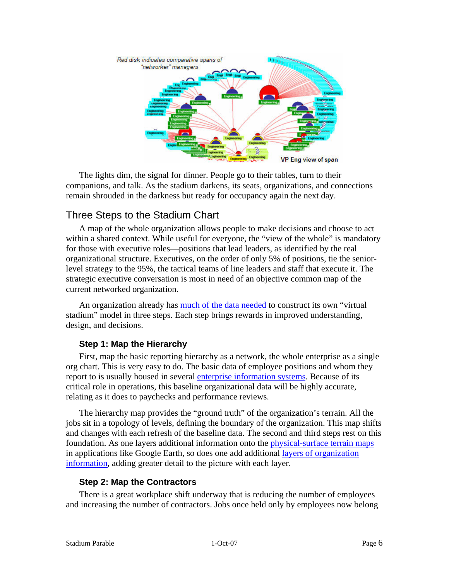

The lights dim, the signal for dinner. People go to their tables, turn to their companions, and talk. As the stadium darkens, its seats, organizations, and connections remain shrouded in the darkness but ready for occupancy again the next day.

# Three Steps to the Stadium Chart

A map of the whole organization allows people to make decisions and choose to act within a shared context. While useful for everyone, the "view of the whole" is mandatory for those with executive roles—positions that lead leaders, as identified by the real organizational structure. Executives, on the order of only 5% of positions, tie the seniorlevel strategy to the 95%, the tactical teams of line leaders and staff that execute it. The strategic executive conversation is most in need of an objective common map of the current networked organization.

An organization already has [much of the data needed](http://www.netage.com/virtualteams/model/organizations/whatWeKnow.html) to construct its own "virtual stadium" model in three steps. Each step brings rewards in improved understanding, design, and decisions.

## **Step 1: Map the Hierarchy**

First, map the basic reporting hierarchy as a network, the whole enterprise as a single org chart. This is very easy to do. The basic data of employee positions and whom they report to is usually housed in several [enterprise information systems.](http://www.netage.com/virtualteams/model/positions/4functions.html) Because of its critical role in operations, this baseline organizational data will be highly accurate, relating as it does to paychecks and performance reviews.

The hierarchy map provides the "ground truth" of the organization's terrain. All the jobs sit in a topology of levels, defining the boundary of the organization. This map shifts and changes with each refresh of the baseline data. The second and third steps rest on this foundation. As one layers additional information onto the *physical-surface terrain maps* in applications like Google Earth, so does one add additional [layers of organization](http://www.netage.com/orgscope/layers/index.html)  [information,](http://www.netage.com/orgscope/layers/index.html) adding greater detail to the picture with each layer.

## **Step 2: Map the Contractors**

There is a great workplace shift underway that is reducing the number of employees and increasing the number of contractors. Jobs once held only by employees now belong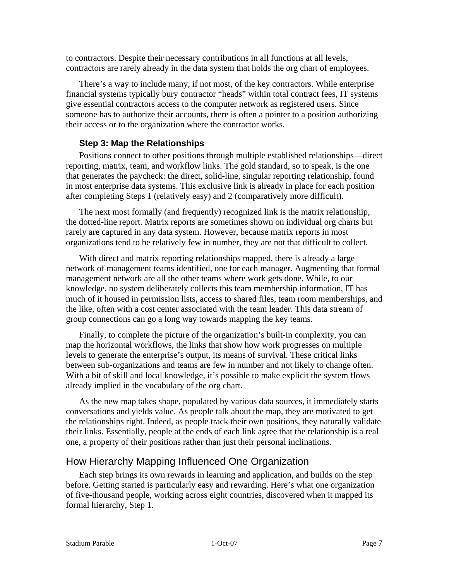to contractors. Despite their necessary contributions in all functions at all levels, contractors are rarely already in the data system that holds the org chart of employees.

There's a way to include many, if not most, of the key contractors. While enterprise financial systems typically bury contractor "heads" within total contract fees, IT systems give essential contractors access to the computer network as registered users. Since someone has to authorize their accounts, there is often a pointer to a position authorizing their access or to the organization where the contractor works.

### **Step 3: Map the Relationships**

Positions connect to other positions through multiple established relationships—direct reporting, matrix, team, and workflow links. The gold standard, so to speak, is the one that generates the paycheck: the direct, solid-line, singular reporting relationship, found in most enterprise data systems. This exclusive link is already in place for each position after completing Steps 1 (relatively easy) and 2 (comparatively more difficult).

The next most formally (and frequently) recognized link is the matrix relationship, the dotted-line report. Matrix reports are sometimes shown on individual org charts but rarely are captured in any data system. However, because matrix reports in most organizations tend to be relatively few in number, they are not that difficult to collect.

With direct and matrix reporting relationships mapped, there is already a large network of management teams identified, one for each manager. Augmenting that formal management network are all the other teams where work gets done. While, to our knowledge, no system deliberately collects this team membership information, IT has much of it housed in permission lists, access to shared files, team room memberships, and the like, often with a cost center associated with the team leader. This data stream of group connections can go a long way towards mapping the key teams.

Finally, to complete the picture of the organization's built-in complexity, you can map the horizontal workflows, the links that show how work progresses on multiple levels to generate the enterprise's output, its means of survival. These critical links between sub-organizations and teams are few in number and not likely to change often. With a bit of skill and local knowledge, it's possible to make explicit the system flows already implied in the vocabulary of the org chart.

As the new map takes shape, populated by various data sources, it immediately starts conversations and yields value. As people talk about the map, they are motivated to get the relationships right. Indeed, as people track their own positions, they naturally validate their links. Essentially, people at the ends of each link agree that the relationship is a real one, a property of their positions rather than just their personal inclinations.

# How Hierarchy Mapping Influenced One Organization

Each step brings its own rewards in learning and application, and builds on the step before. Getting started is particularly easy and rewarding. Here's what one organization of five-thousand people, working across eight countries, discovered when it mapped its formal hierarchy, Step 1.